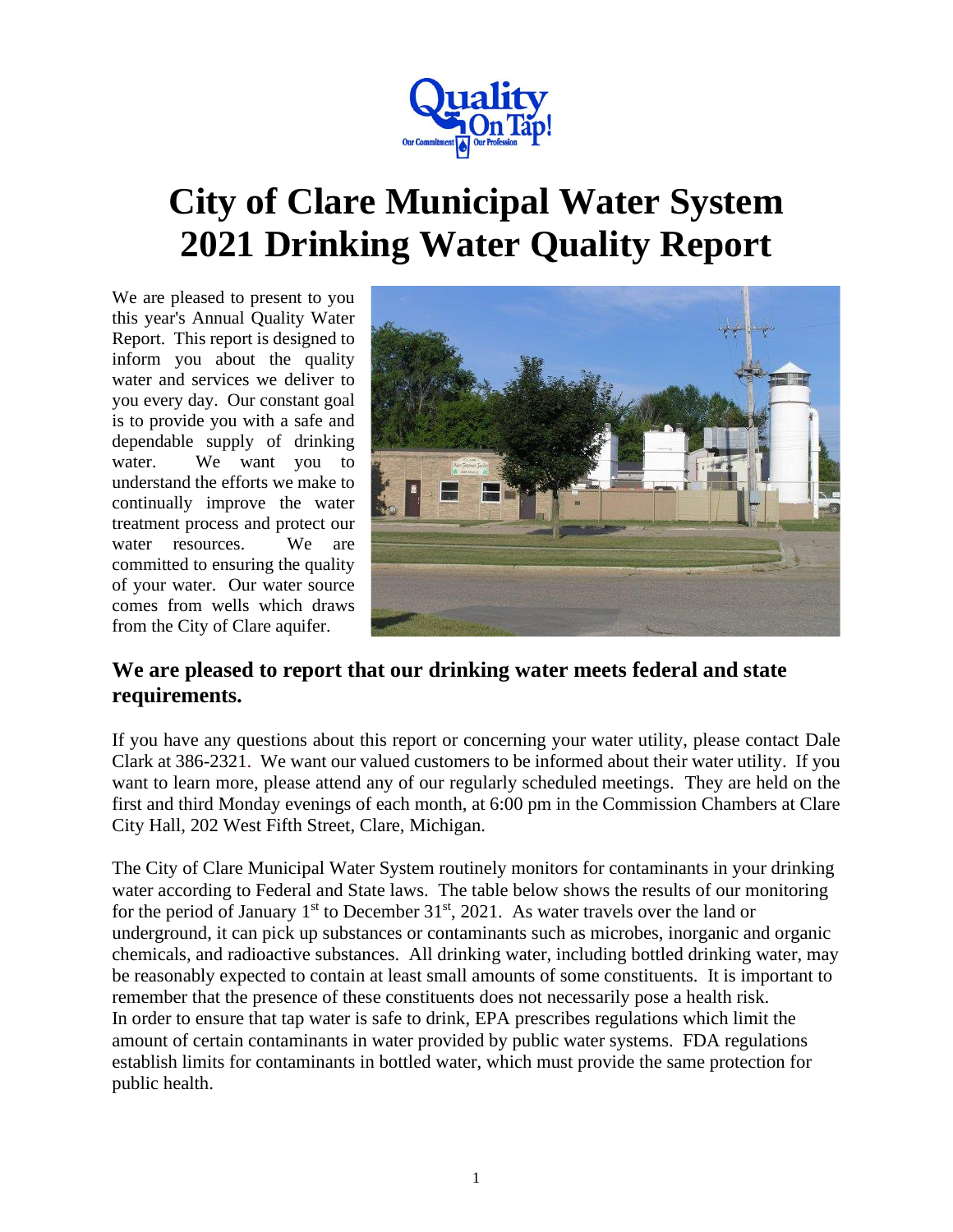

# **City of Clare Municipal Water System 2021 Drinking Water Quality Report**

We are pleased to present to you this year's Annual Quality Water Report. This report is designed to inform you about the quality water and services we deliver to you every day. Our constant goal is to provide you with a safe and dependable supply of drinking water. We want you to understand the efforts we make to continually improve the water treatment process and protect our water resources. We are committed to ensuring the quality of your water. Our water source comes from wells which draws from the City of Clare aquifer.



## **We are pleased to report that our drinking water meets federal and state requirements.**

If you have any questions about this report or concerning your water utility, please contact Dale Clark at 386-2321.We want our valued customers to be informed about their water utility. If you want to learn more, please attend any of our regularly scheduled meetings. They are held on the first and third Monday evenings of each month, at 6:00 pm in the Commission Chambers at Clare City Hall, 202 West Fifth Street, Clare, Michigan.

The City of Clare Municipal Water System routinely monitors for contaminants in your drinking water according to Federal and State laws. The table below shows the results of our monitoring for the period of January 1<sup>st</sup> to December 31<sup>st</sup>, 2021. As water travels over the land or underground, it can pick up substances or contaminants such as microbes, inorganic and organic chemicals, and radioactive substances. All drinking water, including bottled drinking water, may be reasonably expected to contain at least small amounts of some constituents. It is important to remember that the presence of these constituents does not necessarily pose a health risk. In order to ensure that tap water is safe to drink, EPA prescribes regulations which limit the amount of certain contaminants in water provided by public water systems. FDA regulations establish limits for contaminants in bottled water, which must provide the same protection for public health.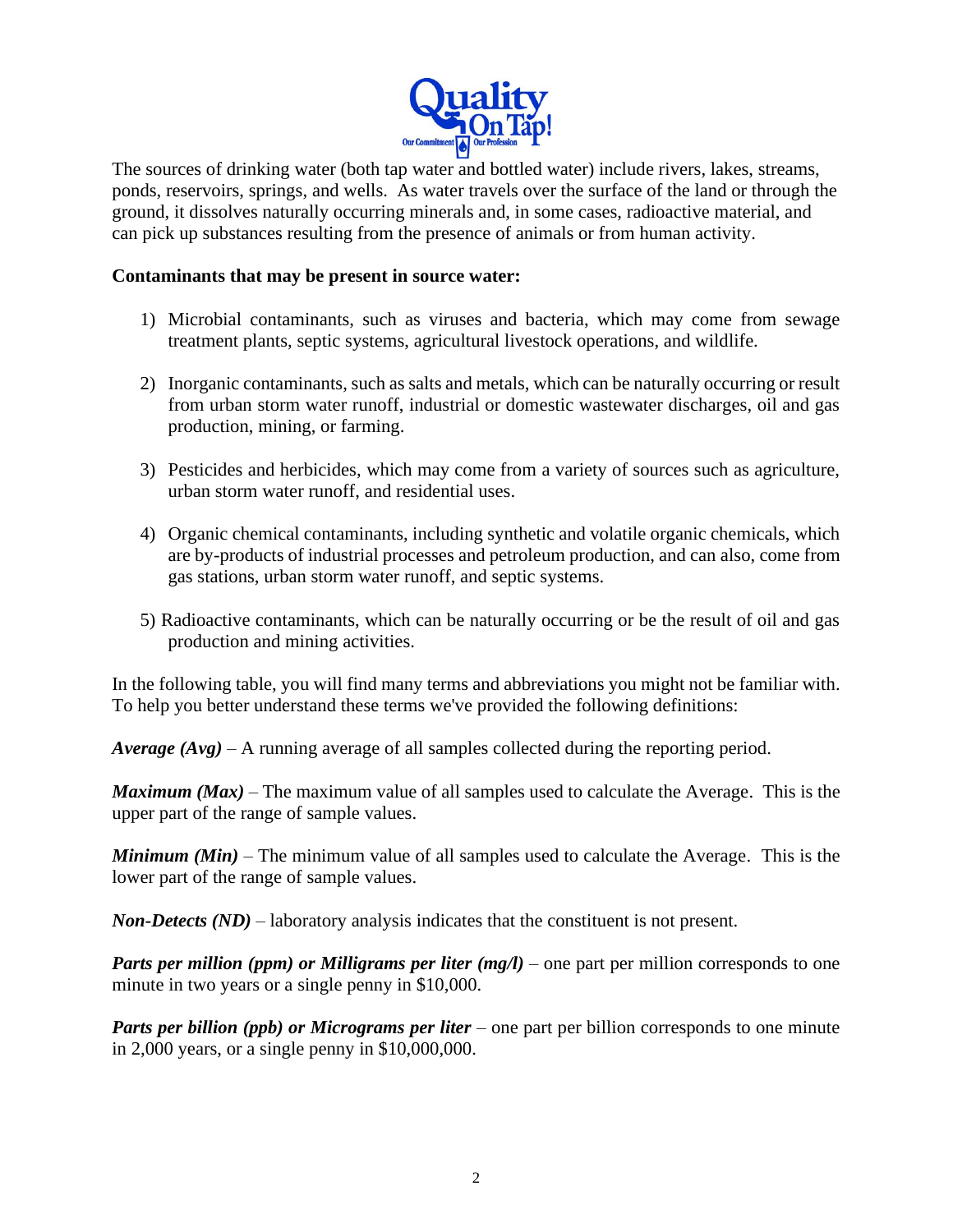

The sources of drinking water (both tap water and bottled water) include rivers, lakes, streams, ponds, reservoirs, springs, and wells. As water travels over the surface of the land or through the ground, it dissolves naturally occurring minerals and, in some cases, radioactive material, and can pick up substances resulting from the presence of animals or from human activity.

#### **Contaminants that may be present in source water:**

- 1) Microbial contaminants, such as viruses and bacteria, which may come from sewage treatment plants, septic systems, agricultural livestock operations, and wildlife.
- 2) Inorganic contaminants, such as salts and metals, which can be naturally occurring or result from urban storm water runoff, industrial or domestic wastewater discharges, oil and gas production, mining, or farming.
- 3) Pesticides and herbicides, which may come from a variety of sources such as agriculture, urban storm water runoff, and residential uses.
- 4) Organic chemical contaminants, including synthetic and volatile organic chemicals, which are by-products of industrial processes and petroleum production, and can also, come from gas stations, urban storm water runoff, and septic systems.
- 5) Radioactive contaminants, which can be naturally occurring or be the result of oil and gas production and mining activities.

In the following table, you will find many terms and abbreviations you might not be familiar with. To help you better understand these terms we've provided the following definitions:

*Average (Avg)* – A running average of all samples collected during the reporting period.

*Maximum (Max)* – The maximum value of all samples used to calculate the Average. This is the upper part of the range of sample values.

*Minimum (Min)* – The minimum value of all samples used to calculate the Average. This is the lower part of the range of sample values.

*Non-Detects (ND)* – laboratory analysis indicates that the constituent is not present.

*Parts per million (ppm) or Milligrams per liter (mg/l)* – one part per million corresponds to one minute in two years or a single penny in \$10,000.

*Parts per billion (ppb) or Micrograms per liter* – one part per billion corresponds to one minute in 2,000 years, or a single penny in \$10,000,000.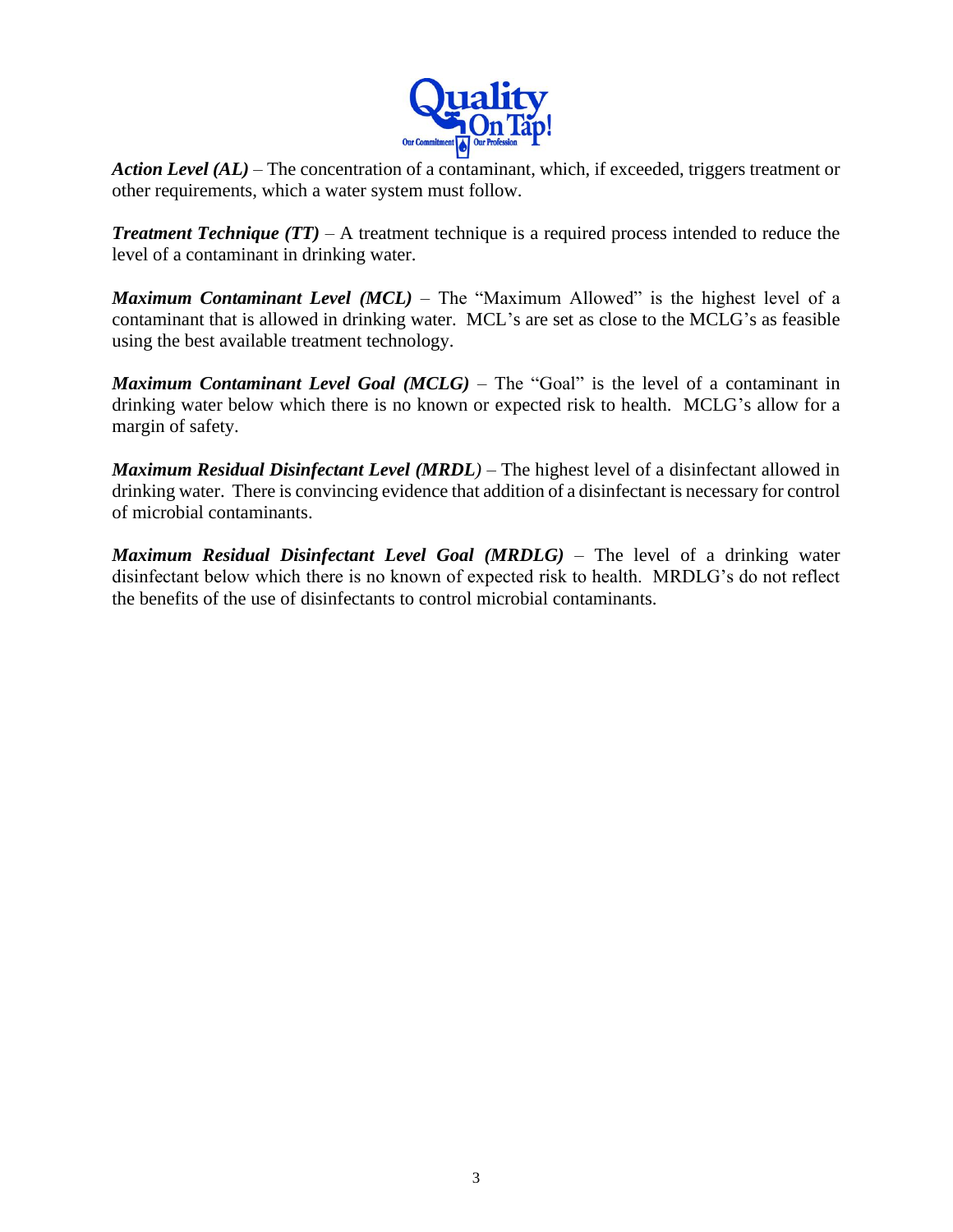

*Action Level (AL)* – The concentration of a contaminant, which, if exceeded, triggers treatment or other requirements, which a water system must follow.

*Treatment Technique (TT)* – A treatment technique is a required process intended to reduce the level of a contaminant in drinking water.

*Maximum Contaminant Level (MCL)* – The "Maximum Allowed" is the highest level of a contaminant that is allowed in drinking water. MCL's are set as close to the MCLG's as feasible using the best available treatment technology.

*Maximum Contaminant Level Goal (MCLG)* – The "Goal" is the level of a contaminant in drinking water below which there is no known or expected risk to health. MCLG's allow for a margin of safety.

*Maximum Residual Disinfectant Level (MRDL)* – The highest level of a disinfectant allowed in drinking water. There is convincing evidence that addition of a disinfectant is necessary for control of microbial contaminants.

*Maximum Residual Disinfectant Level Goal (MRDLG)* – The level of a drinking water disinfectant below which there is no known of expected risk to health. MRDLG's do not reflect the benefits of the use of disinfectants to control microbial contaminants.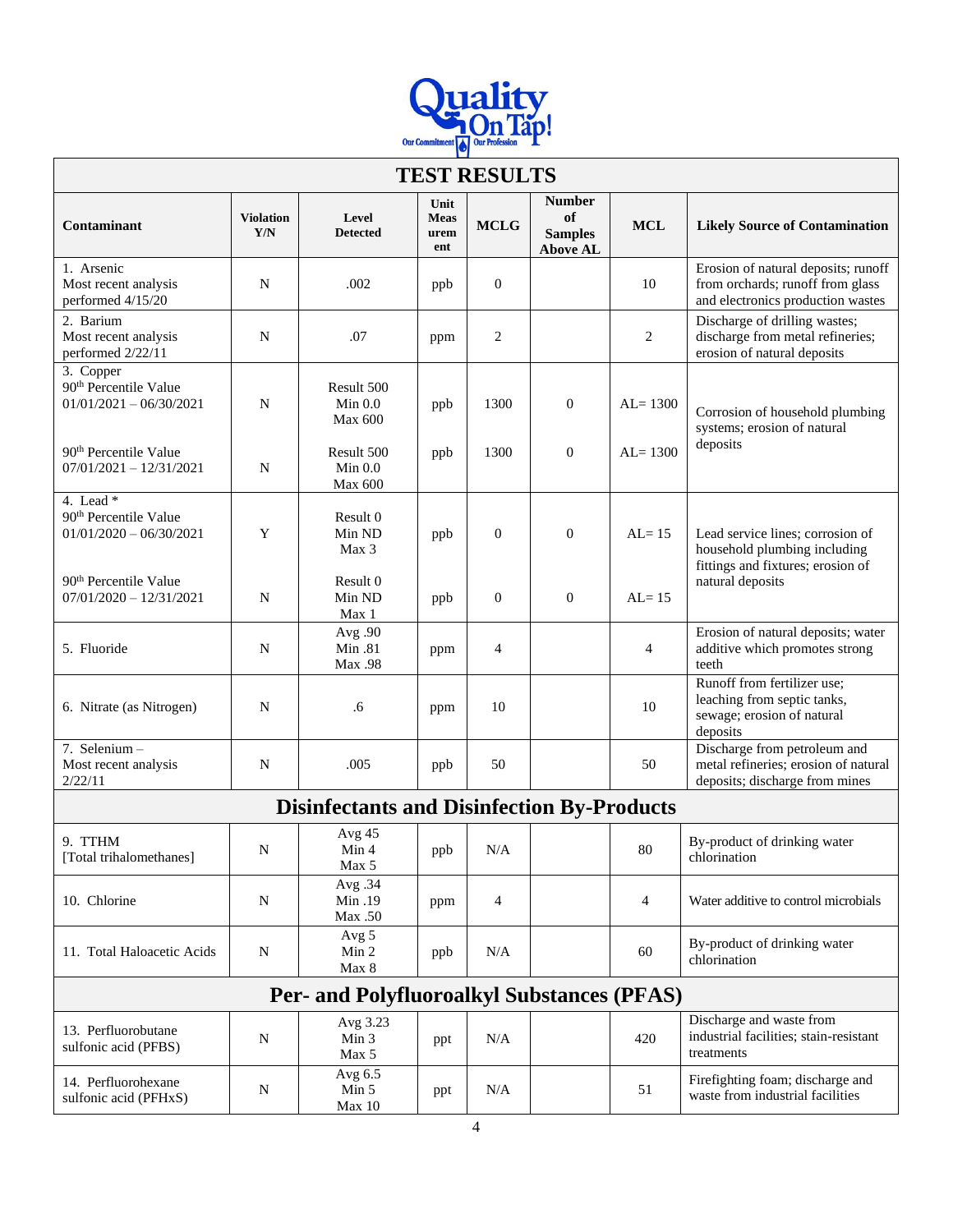

| <b>TEST RESULTS</b>                                                         |                         |                                         |                                    |                |                                                          |                |                                                                                                              |
|-----------------------------------------------------------------------------|-------------------------|-----------------------------------------|------------------------------------|----------------|----------------------------------------------------------|----------------|--------------------------------------------------------------------------------------------------------------|
| Contaminant                                                                 | <b>Violation</b><br>Y/N | Level<br><b>Detected</b>                | Unit<br><b>Meas</b><br>urem<br>ent | <b>MCLG</b>    | <b>Number</b><br>of<br><b>Samples</b><br><b>Above AL</b> | <b>MCL</b>     | <b>Likely Source of Contamination</b>                                                                        |
| 1. Arsenic<br>Most recent analysis<br>performed 4/15/20                     | N                       | .002                                    | ppb                                | $\mathbf{0}$   |                                                          | 10             | Erosion of natural deposits; runoff<br>from orchards; runoff from glass<br>and electronics production wastes |
| 2. Barium<br>Most recent analysis<br>performed 2/22/11                      | N                       | .07                                     | ppm                                | $\overline{c}$ |                                                          | 2              | Discharge of drilling wastes;<br>discharge from metal refineries;<br>erosion of natural deposits             |
| 3. Copper<br>90 <sup>th</sup> Percentile Value<br>$01/01/2021 - 06/30/2021$ | N                       | Result 500<br>Min 0.0<br><b>Max 600</b> | ppb                                | 1300           | $\mathbf{0}$                                             | $AL = 1300$    | Corrosion of household plumbing<br>systems; erosion of natural<br>deposits                                   |
| 90 <sup>th</sup> Percentile Value<br>$07/01/2021 - 12/31/2021$              | N                       | Result 500<br>Min 0.0<br>Max 600        | ppb                                | 1300           | $\boldsymbol{0}$                                         | $AL = 1300$    |                                                                                                              |
| 4. Lead *<br>90 <sup>th</sup> Percentile Value<br>$01/01/2020 - 06/30/2021$ | Y                       | Result 0<br>Min ND<br>Max <sub>3</sub>  | ppb                                | $\mathbf{0}$   | $\mathbf{0}$                                             | $AL=15$        | Lead service lines; corrosion of<br>household plumbing including<br>fittings and fixtures; erosion of        |
| 90 <sup>th</sup> Percentile Value<br>$07/01/2020 - 12/31/2021$              | N                       | Result 0<br>Min ND<br>Max 1             | ppb                                | $\mathbf{0}$   | $\boldsymbol{0}$                                         | $AL=15$        | natural deposits                                                                                             |
| 5. Fluoride                                                                 | N                       | Avg.90<br>Min .81<br>Max .98            | ppm                                | 4              |                                                          | $\overline{4}$ | Erosion of natural deposits; water<br>additive which promotes strong<br>teeth                                |
| 6. Nitrate (as Nitrogen)                                                    | N                       | .6                                      | ppm                                | 10             |                                                          | 10             | Runoff from fertilizer use;<br>leaching from septic tanks,<br>sewage; erosion of natural<br>deposits         |
| 7. Selenium -<br>Most recent analysis<br>2/22/11                            | N                       | .005                                    | ppb                                | 50             |                                                          | 50             | Discharge from petroleum and<br>metal refineries; erosion of natural<br>deposits; discharge from mines       |
| <b>Disinfectants and Disinfection By-Products</b>                           |                         |                                         |                                    |                |                                                          |                |                                                                                                              |
| 9. TTHM<br>[Total trihalomethanes]                                          | N                       | Avg 45<br>Min 4<br>Max 5                | ${\rm ppb}$                        | N/A            |                                                          | 80             | By-product of drinking water<br>chlorination                                                                 |
| 10. Chlorine                                                                | $\mathbf N$             | Avg .34<br>Min .19<br>Max .50           | ppm                                | 4              |                                                          | 4              | Water additive to control microbials                                                                         |
| 11. Total Haloacetic Acids                                                  | $\mathbf N$             | Avg 5<br>Min 2<br>Max 8                 | ppb                                | N/A            |                                                          | 60             | By-product of drinking water<br>chlorination                                                                 |
| <b>Per- and Polyfluoroalkyl Substances (PFAS)</b>                           |                         |                                         |                                    |                |                                                          |                |                                                                                                              |
| 13. Perfluorobutane<br>sulfonic acid (PFBS)                                 | N                       | Avg 3.23<br>Min <sub>3</sub><br>Max 5   | ppt                                | N/A            |                                                          | 420            | Discharge and waste from<br>industrial facilities; stain-resistant<br>treatments                             |
| 14. Perfluorohexane<br>sulfonic acid (PFHxS)                                | N                       | Avg 6.5<br>Min 5<br>Max 10              | ppt                                | N/A            |                                                          | 51             | Firefighting foam; discharge and<br>waste from industrial facilities                                         |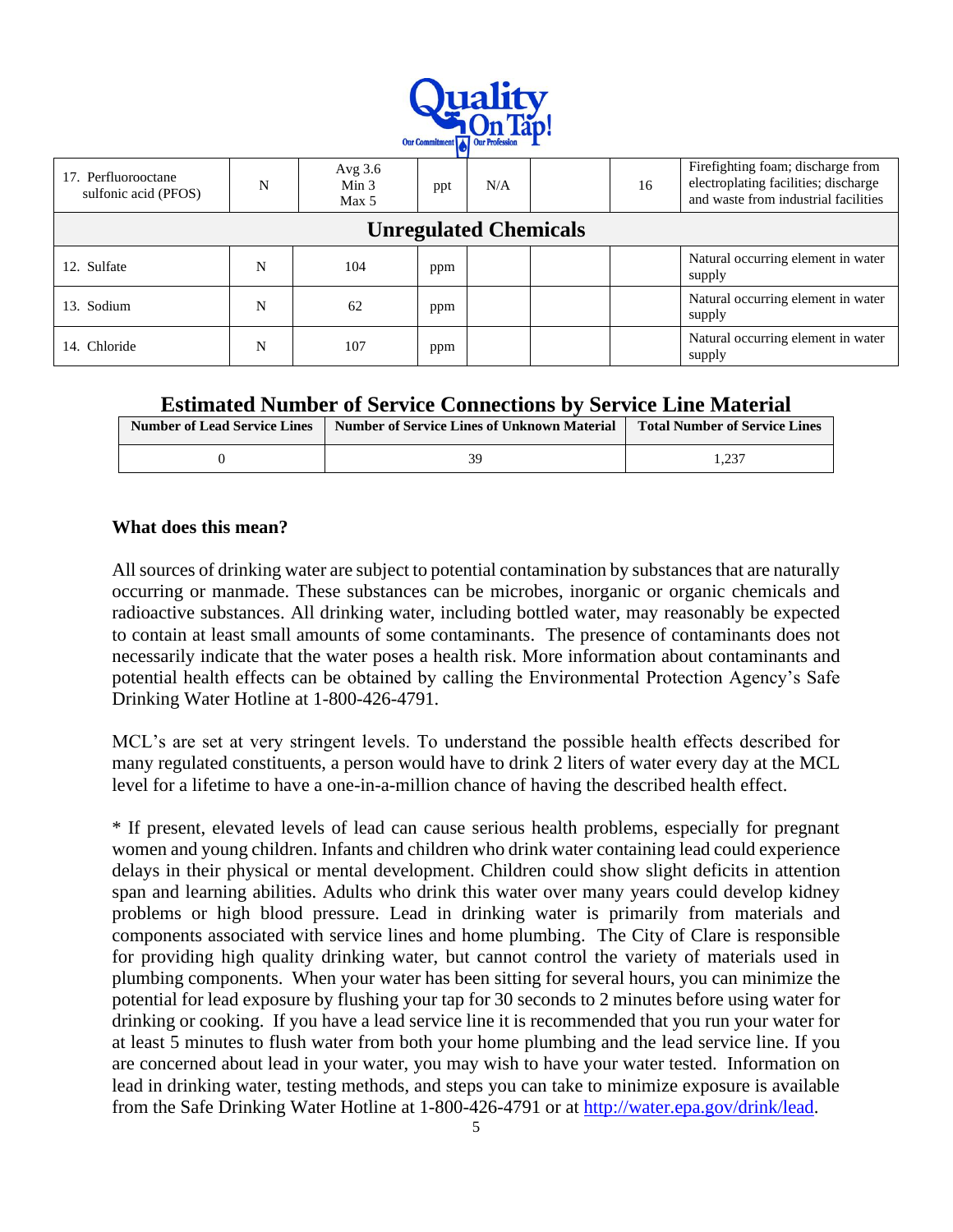

| 17. Perfluorooctane<br>sulfonic acid (PFOS) | N | Avg $3.6$<br>Min $3$<br>Max 5 | ppt | N/A |  | 16 | Firefighting foam; discharge from<br>electroplating facilities; discharge<br>and waste from industrial facilities |
|---------------------------------------------|---|-------------------------------|-----|-----|--|----|-------------------------------------------------------------------------------------------------------------------|
| <b>Unregulated Chemicals</b>                |   |                               |     |     |  |    |                                                                                                                   |
| 12. Sulfate                                 | N | 104                           | ppm |     |  |    | Natural occurring element in water<br>supply                                                                      |
| 13. Sodium                                  | N | 62                            | ppm |     |  |    | Natural occurring element in water<br>supply                                                                      |
| 14. Chloride                                | N | 107                           | ppm |     |  |    | Natural occurring element in water<br>supply                                                                      |

### **Estimated Number of Service Connections by Service Line Material**

| <b>Number of Lead Service Lines</b> | Number of Service Lines of Unknown Material | <b>Total Number of Service Lines</b> |
|-------------------------------------|---------------------------------------------|--------------------------------------|
|                                     |                                             | 1.237                                |

#### **What does this mean?**

All sources of drinking water are subject to potential contamination by substances that are naturally occurring or manmade. These substances can be microbes, inorganic or organic chemicals and radioactive substances. All drinking water, including bottled water, may reasonably be expected to contain at least small amounts of some contaminants. The presence of contaminants does not necessarily indicate that the water poses a health risk. More information about contaminants and potential health effects can be obtained by calling the Environmental Protection Agency's Safe Drinking Water Hotline at 1-800-426-4791.

MCL's are set at very stringent levels. To understand the possible health effects described for many regulated constituents, a person would have to drink 2 liters of water every day at the MCL level for a lifetime to have a one-in-a-million chance of having the described health effect.

\* If present, elevated levels of lead can cause serious health problems, especially for pregnant women and young children. Infants and children who drink water containing lead could experience delays in their physical or mental development. Children could show slight deficits in attention span and learning abilities. Adults who drink this water over many years could develop kidney problems or high blood pressure. Lead in drinking water is primarily from materials and components associated with service lines and home plumbing. The City of Clare is responsible for providing high quality drinking water, but cannot control the variety of materials used in plumbing components. When your water has been sitting for several hours, you can minimize the potential for lead exposure by flushing your tap for 30 seconds to 2 minutes before using water for drinking or cooking. If you have a lead service line it is recommended that you run your water for at least 5 minutes to flush water from both your home plumbing and the lead service line. If you are concerned about lead in your water, you may wish to have your water tested. Information on lead in drinking water, testing methods, and steps you can take to minimize exposure is available from the Safe Drinking Water Hotline at 1-800-426-4791 or at [http://water.epa.gov/drink/lead.](http://water.epa.gov/drink/lead)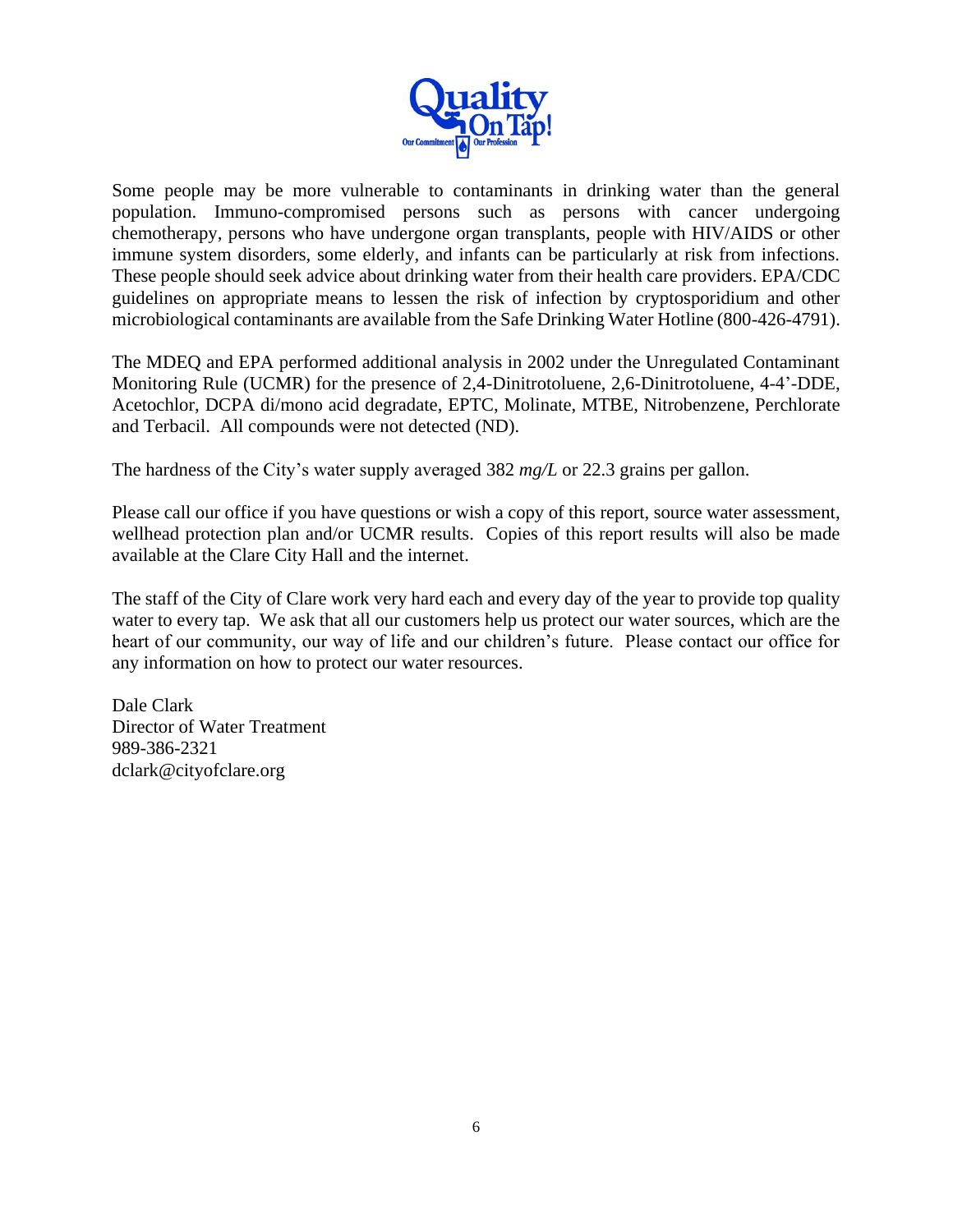

Some people may be more vulnerable to contaminants in drinking water than the general population. Immuno-compromised persons such as persons with cancer undergoing chemotherapy, persons who have undergone organ transplants, people with HIV/AIDS or other immune system disorders, some elderly, and infants can be particularly at risk from infections. These people should seek advice about drinking water from their health care providers. EPA/CDC guidelines on appropriate means to lessen the risk of infection by cryptosporidium and other microbiological contaminants are available from the Safe Drinking Water Hotline (800-426-4791).

The MDEQ and EPA performed additional analysis in 2002 under the Unregulated Contaminant Monitoring Rule (UCMR) for the presence of 2,4-Dinitrotoluene, 2,6-Dinitrotoluene, 4-4'-DDE, Acetochlor, DCPA di/mono acid degradate, EPTC, Molinate, MTBE, Nitrobenzene, Perchlorate and Terbacil. All compounds were not detected (ND).

The hardness of the City's water supply averaged 382 *mg/L* or 22.3 grains per gallon.

Please call our office if you have questions or wish a copy of this report, source water assessment, wellhead protection plan and/or UCMR results. Copies of this report results will also be made available at the Clare City Hall and the internet.

The staff of the City of Clare work very hard each and every day of the year to provide top quality water to every tap. We ask that all our customers help us protect our water sources, which are the heart of our community, our way of life and our children's future. Please contact our office for any information on how to protect our water resources.

Dale Clark Director of Water Treatment 989-386-2321 dclark@cityofclare.org